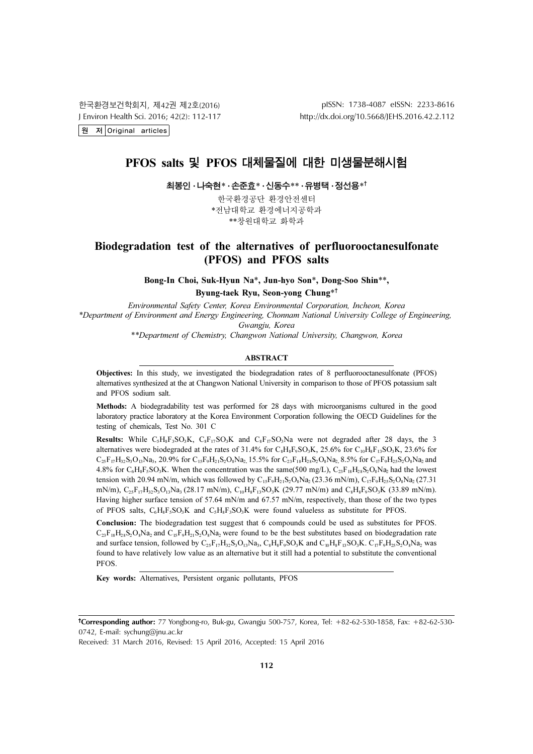한국환경보건학회지, 제42권 제2호(2016) J Environ Health Sci. 2016; 42(2): 112-117 원 저 Original articles

pISSN: 1738-4087 eISSN: 2233-8616 http://dx.doi.org/10.5668/JEHS.2016.42.2.112

# PFOS salts 및 PFOS 대체물질에 대한 미생물분해시험

최봉인 · 나숙현\* · 손준효\* · 신동수\*\* · 유병택 · 정선용\*†

한국환경공단 환경안전센터 \*전남대학교 환경에너지공학과 \*\*창원대학교 화학과

# Biodegradation test of the alternatives of perfluorooctanesulfonate (PFOS) and PFOS salts

Bong-In Choi, Suk-Hyun Na\*, Jun-hyo Son\*, Dong-Soo Shin\*\*,

Byung-taek Ryu, Seon-yong Chung\*†

Environmental Safety Center, Korea Environmental Corporation, Incheon, Korea \*Department of Environment and Energy Engineering, Chonnam National University College of Engineering, Gwangju, Korea

\*\*Department of Chemistry, Changwon National University, Changwon, Korea

#### ABSTRACT

Objectives: In this study, we investigated the biodegradation rates of 8 perfluorooctanesulfonate (PFOS) alternatives synthesized at the at Changwon National University in comparison to those of PFOS potassium salt and PFOS sodium salt.

Methods: A biodegradability test was performed for 28 days with microorganisms cultured in the good laboratory practice laboratory at the Korea Environment Corporation following the OECD Guidelines for the testing of chemicals, Test No. 301 C

**Results:** While C<sub>5</sub>H<sub>3</sub>F<sub>3</sub>SO<sub>3</sub>K, C<sub>8</sub>F<sub>17</sub>SO<sub>3</sub>K and C<sub>8</sub>F<sub>17</sub>SO<sub>3</sub>Na were not degraded after 28 days, the 3 alternatives were biodegraded at the rates of 31.4% for  $C_8H_8F_9SO_3K$ , 25.6% for  $C_{10}H_8F_{13}SO_3K$ , 23.6% for  $C_{25}F_{17}H_{32}S_3O_{13}Na_3$ , 20.9% for  $C_{15}F_9H_{21}S_2O_8Na_2$ , 15.5% for  $C_{23}F_{18}H_{28}S_2O_8Na_2$ , 8.5% for  $C_{17}F_9H_{25}S_2O_8Na_2$  and 4.8% for  $C_6H_8F_5SO_3K$ . When the concentration was the same(500 mg/L),  $C_{23}F_{18}H_{28}S_2O_8Na_2$  had the lowest tension with 20.94 mN/m, which was followed by  $C_{15}F_{9}H_{21}S_{2}O_{8}Na_{2}$  (23.36 mN/m),  $C_{17}F_{9}H_{25}S_{2}O_{8}Na_{2}$  (27.31 mN/m),  $C_2$ <sub>5</sub>F<sub>17</sub>H<sub>32</sub>S<sub>3</sub>O<sub>13</sub>Na<sub>3</sub> (28.17 mN/m),  $C_{10}H_8F_{13}SO_3K$  (29.77 mN/m) and  $C_8H_8F_9SO_3K$  (33.89 mN/m). Having higher surface tension of 57.64 mN/m and 67.57 mN/m, respectively, than those of the two types of PFOS salts,  $C_6H_8F_5SO_3K$  and  $C_5H_8F_3SO_3K$  were found valueless as substitute for PFOS.

Conclusion: The biodegradation test suggest that 6 compounds could be used as substitutes for PFOS.  $C_{23}F_{18}H_{28}S_2O_8N_{42}$  and  $C_{15}F_9H_{21}S_2O_8N_{42}$  were found to be the best substitutes based on biodegradation rate and surface tension, followed by  $C_{25}F_{17}H_{32}S_3O_{13}Na_3$ ,  $C_8H_8F_9SO_3K$  and  $C_{10}H_8F_{13}SO_3K$ .  $C_{17}F_9H_{25}S_2O_8Na_2$  was found to have relatively low value as an alternative but it still had a potential to substitute the conventional PFOS.

Key words: Alternatives, Persistent organic pollutants, PFOS

Received: 31 March 2016, Revised: 15 April 2016, Accepted: 15 April 2016

<sup>†</sup> Corresponding author: 77 Yongbong-ro, Buk-gu, Gwangju 500-757, Korea, Tel: +82-62-530-1858, Fax: +82-62-530- 0742, E-mail: sychung@jnu.ac.kr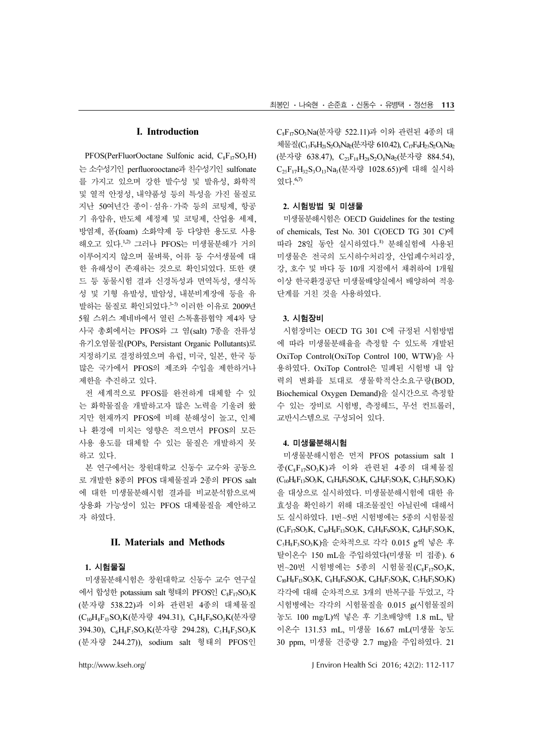## I. Introduction

PFOS(PerFluorOoctane Sulfonic acid, C<sub>8F17</sub>SO<sub>3</sub>H) 는 소수성기인 perfluorooctane과 친수성기인 sulfonate 를 가지고 있으며 강한 발수성 및 발유성, 화학적 및 열적 안정성, 내약품성 등의 특성을 가진 물질로 지난 50여년간 종이·섬유·가죽 등의 코팅제, 항공 기 유압유, 반도체 세정제 및 코팅제, 산업용 세제, 방염제, 폼(foam) 소화약제 등 다양한 용도로 사용 해오고 있다.1,2) 그러나 PFOS는 미생물분해가 거의 이루어지지 않으며 물벼룩, 어류 등 수서생물에 대 한 유해성이 존재하는 것으로 확인되었다. 또한 랫 드 등 동물시험 결과 신경독성과 면역독성, 생식독 성 및 기형 유발성, 발암성, 내분비계장애 등을 유 발하는 물질로 확인되었다. 3-5) 이러한 이유로 2009년 5월 스위스 제네바에서 열린 스톡홀름협약 제4차 당 사국 총회에서는 PFOS와 그 염(salt) 7종을 잔류성 유기오염물질(POPs, Persistant Organic Pollutants)로 지정하기로 결정하였으며 유럽, 미국, 일본, 한국 등 많은 국가에서 PFOS의 제조와 수입을 제한하거나 제한을 추진하고 있다.

전 세계적으로 PFOS를 완전하게 대체할 수 있 는 화학물질을 개발하고자 많은 노력을 기울려 왔 지만 현재까지 PFOS에 비해 분해성이 높고, 인체 나 환경에 미치는 영향은 적으면서 PFOS의 모든 사용 용도를 대체할 수 있는 물질은 개발하지 못 하고 있다.

본 연구에서는 창원대학교 신동수 교수와 공동으 로 개발한 8종의 PFOS 대체물질과 2종의 PFOS salt 에 대한 미생물분해시험 결과를 비교분석함으로써 상용화 가능성이 있는 PFOS 대체물질을 제안하고 자 하였다.

### II. Materials and Methods

#### 1. 시험물질

미생물분해시험은 창원대학교 신동수 교수 연구실 에서 합성한 potassium salt 형태의 PFOS인  $C_8F_{17}SO_3K$ (분자량 538.22)과 이와 관련된 4종의 대체물질 (C<sub>10</sub>H<sub>8</sub>F<sub>13</sub>SO<sub>3</sub>K(분자량 494.31), C<sub>8</sub>H<sub>8</sub>F<sub>9</sub>SO<sub>3</sub>K(분자량 394.30), C<sub>6</sub>H<sub>8</sub>F<sub>5</sub>SO<sub>3</sub>K(분자량 294.28), C<sub>5</sub>H<sub>8</sub>F<sub>3</sub>SO<sub>3</sub>K (분자량 244.27)), sodium salt 형태의 PFOS인

<sup>C</sup>8F17SO3Na(분자량 522.11)<sup>과</sup> 이와 관련된 4종의 <sup>대</sup> 체물질(C<sub>15</sub>F<sub>9</sub>H<sub>21</sub>S<sub>2</sub>O<sub>8</sub>Na<sub>2</sub>(분자량 610.42), C<sub>17</sub>F<sub>9</sub>H<sub>25</sub>S<sub>2</sub>O<sub>8</sub>Na<sub>2</sub> (분자량 638.47), C<sub>23</sub>F<sub>18</sub>H<sub>28</sub>S<sub>2</sub>O<sub>8</sub>Na<sub>2</sub>(분자량 884.54), <sup>C</sup>25F17H32S3O13Na3(분자량 1028.65))<sup>에</sup> 대해 실시하 였다. 6,7)

#### 2. 시험방법 및 미생물

미생물분해시험은 OECD Guidelines for the testing of chemicals, Test No. 301 C(OECD TG 301 C)에 따라 28일 동안 실시하였다. 8) 분해실험에 사용된 미생물은 전국의 도시하수처리장, 산업폐수처리장, 강, 호수 및 바다 등 10개 지점에서 채취하여 1개월 이상 한국환경공단 미생물배양실에서 배양하여 적응 단계를 거친 것을 사용하였다.

#### 3. 시험장비

시험장비는 OECD TG 301 C에 규정된 시험방법 에 따라 미생물분해율을 측정할 수 있도록 개발된 OxiTop Control(OxiTop Control 100, WTW)을 사 용하였다. OxiTop Control은 밀폐된 시험병 내 압 력의 변화를 토대로 생물학적산소요구량(BOD, Biochemical Oxygen Demand)을 실시간으로 측정할 수 있는 장비로 시험병, 측정헤드, 무선 컨트롤러, 교반시스템으로 구성되어 있다.

#### 4. 미생물분해시험

미생물분해시험은 먼저 PFOS potassium salt 1 <sup>종</sup>(C8F17SO3K)<sup>과</sup> 이와 관련된 4종의 대체물질  $(C_{10}H_8F_{13}SO_3K, C_8H_8F_9SO_3K, C_6H_8F_5SO_3K, C_5H_8F_3SO_3K)$ 을 대상으로 실시하였다. 미생물분해시험에 대한 유 효성을 확인하기 위해 대조물질인 아닐린에 대해서 도 실시하였다. 1번~5번 시험병에는 5종의 시험물질  $(C_8F_{17}SO_3K, C_{10}H_8F_{13}SO_3K, C_8H_8F_9SO_3K, C_6H_8F_5SO_3K,$ <sup>C</sup>5H8F3SO3K)<sup>을</sup> 순차적으로 각각 0.015 g<sup>씩</sup> 넣은 <sup>후</sup> 탈이온수 150 mL을 주입하였다(미생물 미 접종). 6 번~20번 시험병에는 5종의 시험물질(C<sub>8</sub>F<sub>17</sub>SO<sub>3</sub>K,  $C_{10}H_8F_{13}SO_3K$ ,  $C_8H_8F_9SO_3K$ ,  $C_6H_8F_5SO_3K$ ,  $C_5H_8F_3SO_3K$ ) 각각에 대해 순차적으로 3개의 반복구를 두었고, 각 시험병에는 각각의 시험물질을 0.015 g(시험물질의 농도 100 mg/L)씩 넣은 후 기초배양액 1.8 mL, 탈 이온수 131.53 mL, 미생물 16.67 mL(미생물 농도 30 ppm, 미생물 건중량 2.7 mg)을 주입하였다. 21

http://www.kseh.org/ J Environ Health Sci 2016; 42(2): 112-117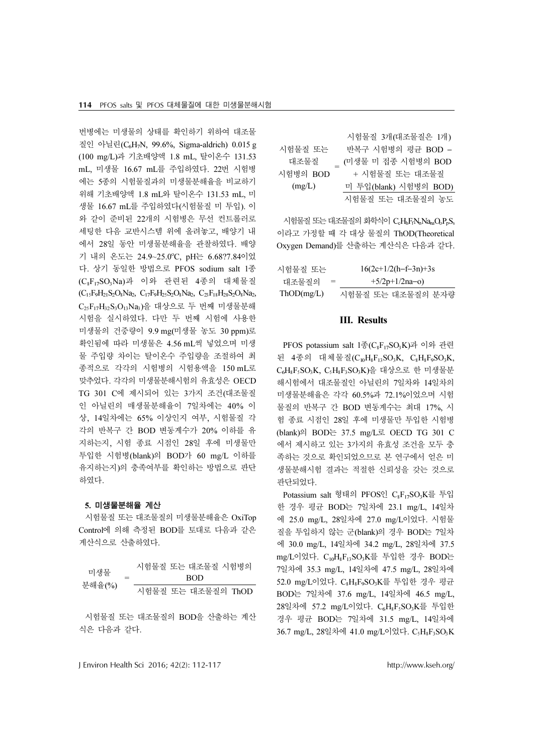번병에는 미생물의 상태를 확인하기 위하여 대조물 질인 아닐린(C6H7N, 99.6%, Sigma-aldrich) 0.015 g (100 mg/L)과 기초배양액 1.8 mL, 탈이온수 131.53 mL, 미생물 16.67 mL를 주입하였다. 22번 시험병 에는 5종의 시험물질과의 미생물분해율을 비교하기 위해 기초배양액 1.8 mL와 탈이온수 131.53 mL, 미 생물 16.67 mL를 주입하였다(시험물질 미 투입). 이 와 같이 준비된 22개의 시험병은 무선 컨트롤러로 세팅한 다음 교반시스템 위에 올려놓고, 배양기 내 에서 28일 동안 미생물분해율을 관찰하였다. 배양 기 내의 온도는 24.9~25.0°C, pH는 6.68?7.84이었 다. 상기 동일한 방법으로 PFOS sodium salt 1종 (C8F17SO3Na)<sup>과</sup> 이와 관련된 4종의 대체물질  $(C_{15}F_{9}H_{21}S_{2}O_{8}Na_{2}, C_{17}F_{9}H_{25}S_{2}O_{8}Na_{2}, C_{23}F_{18}H_{28}S_{2}O_{8}Na_{2},$  $C_{25}F_{17}H_{32}S_{3}O_{13}Na_{3}$ 을 대상으로 두 번째 미생물분해 시험을 실시하였다. 다만 두 번째 시험에 사용한 미생물의 건중량이 9.9 mg(미생물 농도 30 ppm)로 확인됨에 따라 미생물은 4.56 mL씩 넣었으며 미생 물 주입량 차이는 탈이온수 주입량을 조절하여 최 종적으로 각각의 시험병의 시험용액을 150 mL로 맞추었다. 각각의 미생물분해시험의 유효성은 OECD TG 301 C에 제시되어 있는 3가지 조건(대조물질 인 아닐린의 매생물분해율이 7일차에는 40% 이 상, 14일차에는 65% 이상인지 여부, 시험물질 각 각의 반복구 간 BOD 변동계수가 20% 이하를 유 지하는지, 시험 종료 시점인 28일 후에 미생물만 투입한 시험병(blank)의 BOD가 60 mg/L 이하를 유지하는지)의 충족여부를 확인하는 방법으로 판단 하였다.

#### 5. 미생물분해율 계산

시험물질 또는 대조물질의 미생물분해율은 OxiTop Control에 의해 측정된 BOD를 토대로 다음과 같은 계산식으로 산출하였다.

| 미생물<br>분해율(%) | 시험물질 또는 대조물질 시험병의  |
|---------------|--------------------|
|               | -ROD               |
|               | 시험물질 또는 대조물질의 ThOD |

시험물질 또는 대조물질의 BOD을 산출하는 계산 식은 다음과 같다.

|          | 시험물질 3개(대조물질은 1개)     |
|----------|-----------------------|
| 시험물질 또는  | 반복구 시험병의 평균 BOD -     |
| 대조물질     | (미생물 미 접종 시험병의 BOD    |
| 시험병의 BOD | + 시험물질 또는 대조물질        |
| (mg/L)   | 미 투입(blank) 시험병의 BOD) |
|          | 시험물질 또는 대조물질의 농도      |

시험물질 또는 대조물질의 화학식이  $C_cH_hF_fN_nNa_{na}O_aP_nS_s$ 이라고 가정할 때 각 대상 물질의 ThOD(Theoretical Oxygen Demand)를 산출하는 계산식은 다음과 같다. 상 물질의 ThOD(Theo<br>"하는 계산식은 다음과<br>16(2c+1/2(h−f−3n)+3s

|            | Oxygen Demand)를 산출하는 계산식은 다음과 같다. |
|------------|-----------------------------------|
| 시험물질 또는    | $16(2c+1/2(h-f-3n)+3s)$           |
| 대조물질의      | $+5/2p+1/2na-0$                   |
| ThOD(mg/L) | 시험물질 또는 대조물질의 분자량                 |

# III. Results

PFOS potassium salt 1종(C8F17SO3K)<sup>과</sup> 이와 관련 된 4종의 대체물질( $C_{10}H_8F_{13}SO_3K$ ,  $C_8H_8F_9SO_3K$ ,  $C_6H_8F_5SO_3K$ ,  $C_5H_8F_3SO_3K$ )을 대상으로 한 미생물분 해시험에서 대조물질인 아닐린의 7일차와 14일차의 미생물분해율은 각각 60.5%과 72.1%이었으며 시험 물질의 반복구 간 BOD 변동계수는 최대 17%, 시 험 종료 시점인 28일 후에 미생물만 투입한 시험병 (blank)의 BOD는 37.5 mg/L로 OECD TG 301 C 에서 제시하고 있는 3가지의 유효성 조건을 모두 충 족하는 것으로 확인되었으므로 본 연구에서 얻은 미 생물분해시험 결과는 적절한 신뢰성을 갖는 것으로 판단되었다.

Potassium salt 형태의 PFOS인 C<sub>8</sub>F<sub>17</sub>SO<sub>3</sub>K를 투입 한 경우 평균 BOD는 7일차에 23.1 mg/L, 14일차 에 25.0 mg/L, 28일차에 27.0 mg/L이었다. 시험물 질을 투입하지 않는 군(blank)의 경우 BOD는 7일차 에 30.0 mg/L, 14일차에 34.2 mg/L, 28일차에 37.5 mg/L이었다. C10H8F13SO3K<sup>를</sup> 투입한 경우 BOD<sup>는</sup> 7일차에 35.3 mg/L, 14일차에 47.5 mg/L, 28일차에 52.0 mg/L이었다. C<sub>8</sub>H<sub>8</sub>F<sub>9</sub>SO<sub>3</sub>K를 투입한 경우 평균 BOD는 7일차에 37.6 mg/L, 14일차에 46.5 mg/L, 28일차에 57.2 mg/L이었다. C<sub>6</sub>H<sub>8</sub>F<sub>5</sub>SO<sub>3</sub>K를 투입한 경우 평균 BOD는 7일차에 31.5 mg/L, 14일차에 36.7 mg/L, 28일차에 41.0 mg/L이었다. C<sub>5</sub>H<sub>8</sub>F<sub>3</sub>SO<sub>3</sub>K

J Environ Health Sci 2016; 42(2): 112-117 http://www.kseh.org/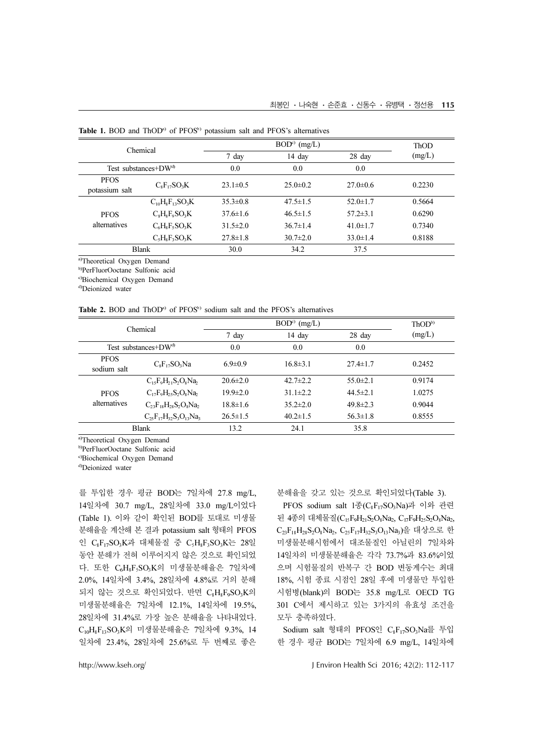|                               | Chemical                |                | ThOD           |                |        |
|-------------------------------|-------------------------|----------------|----------------|----------------|--------|
|                               |                         | 7 day          | 14 day         | 28 day         | (mg/L) |
|                               | Test substances+ $DW^d$ | 0.0            | 0.0            | 0.0            |        |
| <b>PFOS</b><br>potassium salt | $C_sF_{17}SO_3K$        | $23.1 \pm 0.5$ | $25.0 \pm 0.2$ | $27.0 \pm 0.6$ | 0.2230 |
|                               | $C_{10}H_8F_{13}SO_3K$  | $35.3 \pm 0.8$ | $47.5 \pm 1.5$ | $52.0 \pm 1.7$ | 0.5664 |
| <b>PFOS</b>                   | $C_8H_8F_9SO_2K$        | $37.6 \pm 1.6$ | $46.5 \pm 1.5$ | $57.2 \pm 3.1$ | 0.6290 |
| alternatives                  | $C_6H_8F_5SO_3K$        | $31.5 \pm 2.0$ | $36.7 \pm 1.4$ | $41.0 \pm 1.7$ | 0.7340 |
|                               | $C_5H_8F_5SO_3K$        | $27.8 \pm 1.8$ | $30.7 \pm 2.0$ | $33.0 \pm 1.4$ | 0.8188 |
|                               | <b>Blank</b>            | 30.0           | 34.2           | 37.5           |        |

Table 1. BOD and  $ThOD<sup>a)</sup>$  of  $PFOS<sup>b)</sup>$  potassium salt and  $PFOS's$  alternatives

a)Theoretical Oxygen Demand

b)PerFluorOoctane Sulfonic acid

c)Biochemical Oxygen Demand

d)Deionized water

|  |  | <b>Table 2.</b> BOD and ThOD <sup>a)</sup> of PFOS <sup>b)</sup> sodium salt and the PFOS's alternatives |  |  |  |
|--|--|----------------------------------------------------------------------------------------------------------|--|--|--|
|  |  |                                                                                                          |  |  |  |

| Chemical                   |                                   |                | ThOD <sup>b</sup> |                |        |
|----------------------------|-----------------------------------|----------------|-------------------|----------------|--------|
|                            |                                   | 7 day          | 14 day            | 28 day         | (mg/L) |
|                            | Test substances+ $DW^d$           | 0.0            | 0.0               | 0.0            |        |
| <b>PFOS</b><br>sodium salt | $C_sF_{17}SO_3Na$                 | $6.9 \pm 0.9$  | $16.8\pm3.1$      | $27.4 \pm 1.7$ | 0.2452 |
|                            | $C_1$ , $F_9H_{21}S_2O_8Na_2$     | $20.6 \pm 2.0$ | $42.7 \pm 2.2$    | $55.0 \pm 2.1$ | 0.9174 |
| <b>PFOS</b>                | $C_1$ , $F_9H_2$ , $S_2O_8Na_2$   | $19.9 \pm 2.0$ | $31.1 \pm 2.2$    | $44.5 \pm 2.1$ | 1.0275 |
| alternatives               | $C_{23}F_{18}H_{28}S_2O_8Na_2$    | $18.8 \pm 1.6$ | $35.2 \pm 2.0$    | $49.8 \pm 2.3$ | 0.9044 |
|                            | $C_{25}F_{17}H_{32}S_3O_{13}Na_3$ | $26.5 \pm 1.5$ | $40.2 \pm 1.5$    | $56.3 \pm 1.8$ | 0.8555 |
|                            | <b>Blank</b>                      | 13.2           | 24.1              | 35.8           |        |

a)Theoretical Oxygen Demand

b)PerFluorOoctane Sulfonic acid

c)Biochemical Oxygen Demand

d)Deionized water

를 투입한 경우 평균 BOD는 7일차에 27.8 mg/L, 14일차에 30.7 mg/L, 28일차에 33.0 mg/L이었다 (Table 1). 이와 같이 확인된 BOD를 토대로 미생물 분해율을 계산해 본 결과 potassium salt 형태의 PFOS 인 C<sub>8</sub>F<sub>17</sub>SO<sub>3</sub>K과 대체물질 중 C<sub>3</sub>H<sub>8</sub>F<sub>3</sub>SO<sub>3</sub>K는 28일 동안 분해가 전혀 이루어지지 않은 것으로 확인되었 다. 또한  $C_6H_8F_5SO_3K$ 의 미생물분해율은 7일차에 2.0%, 14일차에 3.4%, 28일차에 4.8%로 거의 분해 되지 않는 것으로 확인되었다. 반면  $C_8H_8F_9SO_3K$ 의 미생물분해율은 7일차에 12.1%, 14일차에 19.5%, 28일차에 31.4%로 가장 높은 분해율을 나타내었다. <sup>C</sup>10H8F13SO3K<sup>의</sup> 미생물분해율은 7일차에 9.3%, 14 일차에 23.4%, 28일차에 25.6%로 두 번째로 좋은 분해율을 갖고 있는 것으로 확인되었다(Table 3).

PFOS sodium salt 1종(C<sub>8</sub>F<sub>17</sub>SO<sub>3</sub>Na)과 이와 관련 된 4종의 대체물질 $(C_{15}F_{9}H_{21}S_{2}O_{8}Na_{2}, C_{17}F_{9}H_{25}S_{2}O_{8}Na_{2},$ <sup>C</sup>23F18H28S2O8Na2, C25F17H32S3O13Na3)<sup>을</sup> 대상으로 <sup>한</sup> 미생물분해시험에서 대조물질인 아닐린의 7일차와 14일차의 미생물분해율은 각각 73.7%과 83.6%이었 으며 시험물질의 반복구 간 BOD 변동계수는 최대 18%, 시험 종료 시점인 28일 후에 미생물만 투입한 시험병(blank)의 BOD는 35.8 mg/L로 OECD TG 301 C에서 제시하고 있는 3가지의 유효성 조건을 모두 충족하였다.

Sodium salt 형태의 PFOS인 C8F17SO3Na<sup>를</sup> 투입 한 경우 평균 BOD는 7일차에 6.9 mg/L, 14일차에

http://www.kseh.org/ J Environ Health Sci 2016; 42(2): 112-117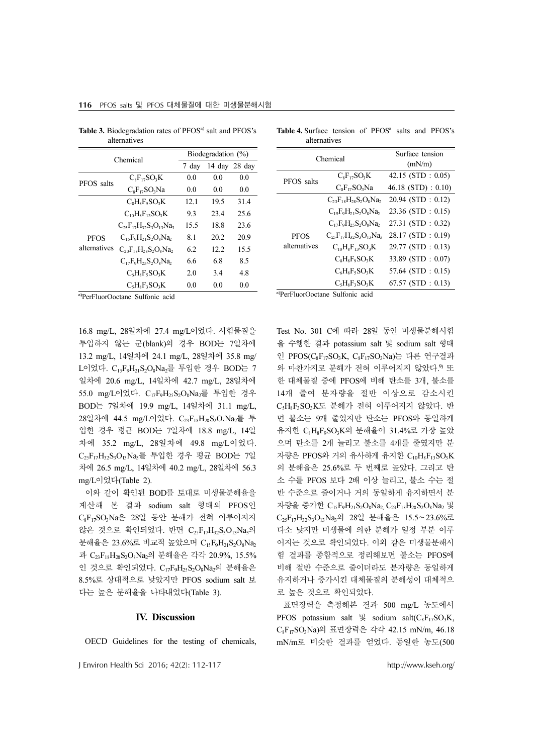|              | Chemical                                  | Biodegradation (%) |       |               |  |
|--------------|-------------------------------------------|--------------------|-------|---------------|--|
|              |                                           | 7 day              |       | 14 day 28 day |  |
| PFOS salts   | $C_sF_{12}SO_2K$                          | 0.0                | 0.0   | 0.0           |  |
|              | $C_8F_{17}SO_3Na$                         | 0.0                | 0.0   | 0.0           |  |
|              | $C_sH_sF_sSO_3K$                          | 12.1               | 19.5  | 31.4          |  |
|              | $CnHsF13SO3K$                             | 93                 | 23.4  | 25.6          |  |
|              | $C_2$ , $F_1$ , $H_3$ , $S_3O_1$ , $Na_3$ | 15.5               | 18.8  | 23.6          |  |
| PFOS         | $C_1$ , $F_2H_2$ , $S_2O_3Na_2$           | 8.1                | 20.2  | 20.9          |  |
| alternatives | $C_{23}F_{18}H_{28}S_2O_8Na_2$            | 62                 | 12.2. | 15.5          |  |
|              | $C_1$ . $F_0H_2$ . $S_2O_8Na_2$           | 6.6                | 6.8   | 8.5           |  |
|              | $C_6H_8F_5SO_3K$                          | 2.0                | 3.4   | 4.8           |  |
|              | $C.HsFsSOsK$                              | 0.0                | 0.0   | 0.0           |  |
|              | a)PerFluorOoctane Sulfonic acid           |                    |       |               |  |

116 PFOS salts 및 PFOS 대체물질에 대한 미생물분해시험

Table 3. Biodegradation rates of PFOS<sup>a)</sup> salt and PFOS's

alternatives

| <b>Table 4.</b> Surface tension of PFOS <sup>a</sup> salts and PFOS's |  |  |  |
|-----------------------------------------------------------------------|--|--|--|
| alternatives                                                          |  |  |  |

|                                 | Chemical                                         | Surface tension<br>(mN/m) |  |
|---------------------------------|--------------------------------------------------|---------------------------|--|
| PFOS salts                      | $C_sF_1SO_3K$                                    | $42.15$ (STD : 0.05)      |  |
|                                 | $C_sF_{17}SO_3Na$                                | $46.18$ (STD) : 0.10)     |  |
|                                 | $C_{23}F_{18}H_{28}S_{2}O_{8}Na_{2}$             | $20.94$ (STD : 0.12)      |  |
|                                 | $C_1$ , $F_2$ , $H_2$ , $S_2O_8$ Na <sub>2</sub> | 23.36 (STD: 0.15)         |  |
|                                 | $C_1$ , $F_0H_2$ , $S_2O_8Na_2$                  | 27.31 (STD: 0.32)         |  |
| <b>PFOS</b><br>alternatives     | $C_2$ <sub>5</sub> $F_{17}H_{32}S_3O_{13}Na_3$   | 28.17 (STD: 0.19)         |  |
|                                 | $C_{10}H_8F_{13}SO_3K$                           | 29.77 (STD: 0.13)         |  |
|                                 | $C_sH_sF_sSO_3K$                                 | 33.89 (STD: 0.07)         |  |
|                                 | $C_6H_8F_5SO_3K$                                 | 57.64 (STD : $0.15$ )     |  |
|                                 | $C_{s}H_{s}F_{s}SO_{3}K$                         | $67.57$ (STD : 0.13)      |  |
| a)PerFluorOoctane Sulfonic acid |                                                  |                           |  |

16.8 mg/L, 28일차에 27.4 mg/L이었다. 시험물질을 투입하지 않는 군(blank)의 경우 BOD는 7일차에 13.2 mg/L, 14일차에 24.1 mg/L, 28일차에 35.8 mg/ L이었다. C<sub>15</sub>F<sub>9</sub>H<sub>21</sub>S<sub>2</sub>O<sub>8</sub>Na<sub>2</sub>를 투입한 경우 BOD는 7 일차에 20.6 mg/L, 14일차에 42.7 mg/L, 28일차에 55.0 mg/L이었다. C17F9H25S2O8Na2<sup>를</sup> 투입한 경우 BOD는 7일차에 19.9 mg/L, 14일차에 31.1 mg/L, 28일차에 44.5 mg/L이었다. C<sub>23</sub>F<sub>18</sub>H<sub>28</sub>S<sub>2</sub>O<sub>8</sub>Na<sub>2</sub>를 투 입한 경우 평균 BOD는 7일차에 18.8 mg/L, 14일 차에 35.2 mg/L, 28일차에 49.8 mg/L이었다.  $C_{25}F_{17}H_{32}S_{3}O_{13}Na_{3}$ 를 투입한 경우 평균 BOD는 7일 차에 26.5 mg/L, 14일차에 40.2 mg/L, 28일차에 56.3 mg/L이었다(Table 2).

이와 같이 확인된 BOD를 토대로 미생물분해율을 계산해 본 결과 sodium salt 형태의 PFOS인 C<sub>8</sub>F<sub>17</sub>SO<sub>3</sub>Na은 28일 동안 분해가 전혀 이루어지지 않은 것으로 확인되었다. 반면  $C_{25}F_{17}H_{32}S_{3}O_{13}Na_{3}$ 의 분해율은 23.6%로 비교적 높았으며  $C_{15}F_{9}H_{21}S_{2}O_{8}Na_{2}$ 과 C<sub>23</sub>F<sub>18</sub>H<sub>28</sub>S<sub>2</sub>O<sub>8</sub>Na<sub>2</sub>의 분해율은 각각 20.9%, 15.5% 인 것으로 확인되었다.  $C_{17}F_{9}H_{25}S_{2}O_{8}Na_{2}$ 의 분해율은 8.5%로 상대적으로 낮았지만 PFOS sodium salt 보 다는 높은 분해율을 나타내었다(Table 3).

#### IV. Discussion

OECD Guidelines for the testing of chemicals,

J Environ Health Sci 2016; 42(2): 112-117 http://www.kseh.org/

Test No. 301 C에 따라 28일 동안 미생물분해시험 을 수행한 결과 potassium salt 및 sodium salt 형태 <sup>인</sup> PFOS(C8F17SO3K, C8F17SO3Na)<sup>는</sup> <sup>다</sup><sup>른</sup> 연구결과 와 마찬가지로 분해가 전혀 이루어지지 않았다. 9) 또 한 대체물질 중에 PFOS에 비해 탄소를 3개, 불소를 14개 줄여 분자량을 절반 이상으로 감소시킨 <sup>C</sup>5H8F3SO3K<sup>도</sup> 분해가 전혀 이루어지지 <sup>않</sup>았다. <sup>반</sup> 면 불소는 9개 줄였지만 탄소는 PFOS와 동일하게 유지한 C8H8F9SO3K<sup>의</sup> 분해율이 31.4%<sup>로</sup> 가장 <sup>높</sup><sup>았</sup> 으며 탄소를 2개 늘리고 불소를 4개를 줄였지만 분 자량은 PFOS와 거의 유사하게 유지한  $C_{10}H_8F_{13}SO_3K$ 의 분해율은 25.6%로 두 번째로 높았다. 그리고 탄 소 수를 PFOS 보다 2배 이상 늘리고, 불소 수는 절 반 수준으로 줄이거나 거의 동일하게 유지하면서 분 자량을 증가한  $C_{15}F_{9}H_{21}S_{2}O_{8}Na_{2}$ ,  $C_{23}F_{18}H_{28}S_{2}O_{8}Na_{2}$  및 <sup>C</sup>25F17H32S3O13Na3의 28<sup>일</sup> 분해율은 15.5∼23.6%<sup>로</sup> 다소 낮지만 미생물에 의한 분해가 일정 부분 이루 어지는 것으로 확인되었다. 이외 같은 미생물분해시 험 결과를 종합적으로 정리해보면 불소는 PFOS에 비해 절반 수준으로 줄이더라도 분자량은 동일하게 유지하거나 증가시킨 대체물질의 분해성이 대체적으 로 높은 것으로 확인되었다.

표면장력을 측정해본 결과 500 mg/L 농도에서 PFOS potassium salt 및 sodium salt( $C_8F_{17}SO_3K$ , <sup>C</sup>8F17SO3Na)<sup>의</sup> <sup>표</sup>면장력은 각각 42.15 mN/m, 46.18 mN/m로 비슷한 결과를 얻었다. 동일한 농도(500